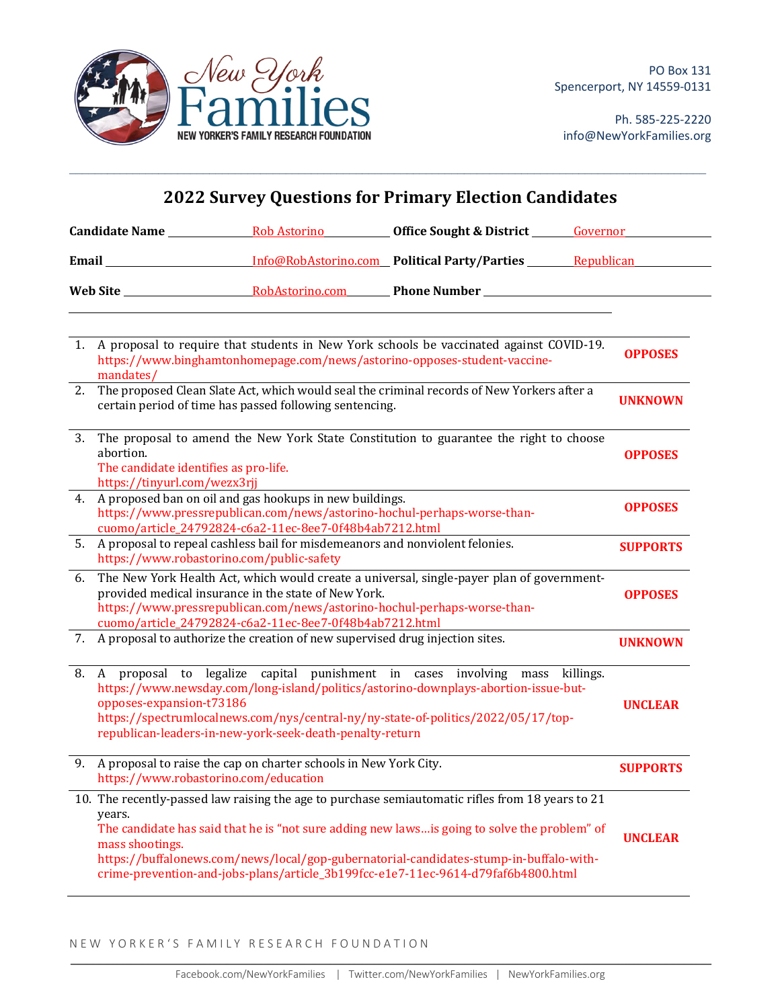

Ph. 585-225-2220 info@NewYorkFamilies.org

| <b>2022 Survey Questions for Primary Election Candidates</b> |                                                                                                                                                                                                |                                                                                                                                                                                             |                                                                                                                                                                                                                                                                                                                                                                                  |                 |
|--------------------------------------------------------------|------------------------------------------------------------------------------------------------------------------------------------------------------------------------------------------------|---------------------------------------------------------------------------------------------------------------------------------------------------------------------------------------------|----------------------------------------------------------------------------------------------------------------------------------------------------------------------------------------------------------------------------------------------------------------------------------------------------------------------------------------------------------------------------------|-----------------|
|                                                              |                                                                                                                                                                                                |                                                                                                                                                                                             | <b>Candidate Name Solution Rob Astoring <b>Solution Contract Contract Contract Contract Contract Contract Contract Contract Contract Contract Contract Contract Contract Contract Contract Contract Contract Contract Contra</b></b>                                                                                                                                             |                 |
|                                                              |                                                                                                                                                                                                |                                                                                                                                                                                             | <b>Email</b> <u>Info@RobAstorino.com</u> Political Party/Parties Republican                                                                                                                                                                                                                                                                                                      |                 |
|                                                              |                                                                                                                                                                                                |                                                                                                                                                                                             |                                                                                                                                                                                                                                                                                                                                                                                  |                 |
|                                                              | mandates/                                                                                                                                                                                      | https://www.binghamtonhomepage.com/news/astorino-opposes-student-vaccine-                                                                                                                   | 1. A proposal to require that students in New York schools be vaccinated against COVID-19.                                                                                                                                                                                                                                                                                       | <b>OPPOSES</b>  |
| 2.                                                           | The proposed Clean Slate Act, which would seal the criminal records of New Yorkers after a<br>certain period of time has passed following sentencing.                                          |                                                                                                                                                                                             |                                                                                                                                                                                                                                                                                                                                                                                  | <b>UNKNOWN</b>  |
| 3.                                                           | The proposal to amend the New York State Constitution to guarantee the right to choose<br>abortion.<br>The candidate identifies as pro-life.<br>https://tinyurl.com/wezx3rjj                   |                                                                                                                                                                                             |                                                                                                                                                                                                                                                                                                                                                                                  |                 |
| 4.                                                           | A proposed ban on oil and gas hookups in new buildings.<br>https://www.pressrepublican.com/news/astorino-hochul-perhaps-worse-than-<br>cuomo/article_24792824-c6a2-11ec-8ee7-0f48b4ab7212.html |                                                                                                                                                                                             |                                                                                                                                                                                                                                                                                                                                                                                  |                 |
|                                                              | 5. A proposal to repeal cashless bail for misdemeanors and nonviolent felonies.<br>https://www.robastorino.com/public-safety                                                                   |                                                                                                                                                                                             |                                                                                                                                                                                                                                                                                                                                                                                  | <b>SUPPORTS</b> |
| 6.                                                           |                                                                                                                                                                                                | provided medical insurance in the state of New York.<br>https://www.pressrepublican.com/news/astorino-hochul-perhaps-worse-than-<br>cuomo/article_24792824-c6a2-11ec-8ee7-0f48b4ab7212.html | The New York Health Act, which would create a universal, single-payer plan of government-                                                                                                                                                                                                                                                                                        | <b>OPPOSES</b>  |
|                                                              |                                                                                                                                                                                                | 7. A proposal to authorize the creation of new supervised drug injection sites.                                                                                                             |                                                                                                                                                                                                                                                                                                                                                                                  | <b>UNKNOWN</b>  |
| 8.                                                           | opposes-expansion-t73186                                                                                                                                                                       | republican-leaders-in-new-york-seek-death-penalty-return                                                                                                                                    | A proposal to legalize capital punishment in cases involving mass killings.<br>https://www.newsday.com/long-island/politics/astorino-downplays-abortion-issue-but-<br>https://spectrumlocalnews.com/nys/central-ny/ny-state-of-politics/2022/05/17/top-                                                                                                                          | <b>UNCLEAR</b>  |
| 9.                                                           | https://www.robastorino.com/education                                                                                                                                                          | A proposal to raise the cap on charter schools in New York City.                                                                                                                            |                                                                                                                                                                                                                                                                                                                                                                                  | <b>SUPPORTS</b> |
|                                                              | years.<br>mass shootings.                                                                                                                                                                      |                                                                                                                                                                                             | 10. The recently-passed law raising the age to purchase semiautomatic rifles from 18 years to 21<br>The candidate has said that he is "not sure adding new laws is going to solve the problem" of<br>https://buffalonews.com/news/local/gop-gubernatorial-candidates-stump-in-buffalo-with-<br>crime-prevention-and-jobs-plans/article_3b199fcc-e1e7-11ec-9614-d79faf6b4800.html | <b>UNCLEAR</b>  |

 $\mathcal{L}_\mathcal{L} = \mathcal{L}_\mathcal{L} = \mathcal{L}_\mathcal{L} = \mathcal{L}_\mathcal{L} = \mathcal{L}_\mathcal{L} = \mathcal{L}_\mathcal{L} = \mathcal{L}_\mathcal{L} = \mathcal{L}_\mathcal{L} = \mathcal{L}_\mathcal{L} = \mathcal{L}_\mathcal{L} = \mathcal{L}_\mathcal{L} = \mathcal{L}_\mathcal{L} = \mathcal{L}_\mathcal{L} = \mathcal{L}_\mathcal{L} = \mathcal{L}_\mathcal{L} = \mathcal{L}_\mathcal{L} = \mathcal{L}_\mathcal{L}$ 

NEW YORKER'S FAMILY RESEARCH FOUNDATION